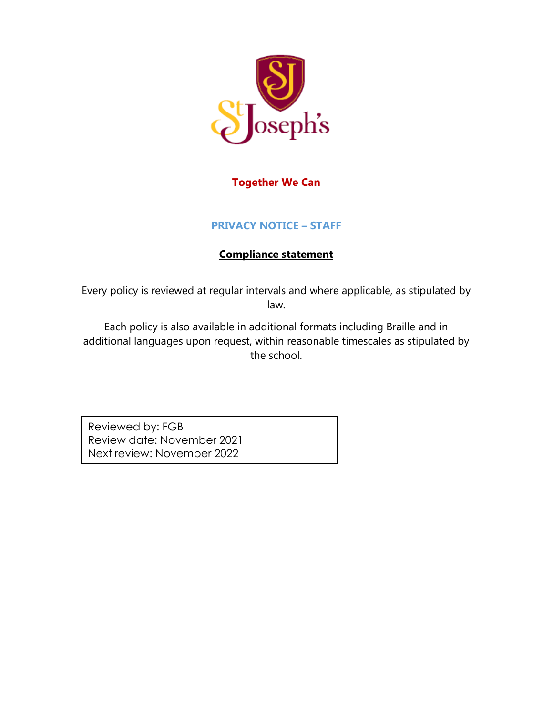

### **Together We Can**

### **PRIVACY NOTICE – STAFF**

### **Compliance statement**

Every policy is reviewed at regular intervals and where applicable, as stipulated by law.

Each policy is also available in additional formats including Braille and in additional languages upon request, within reasonable timescales as stipulated by the school.

Reviewed by: FGB Review date: November 2021 Next review: November 2022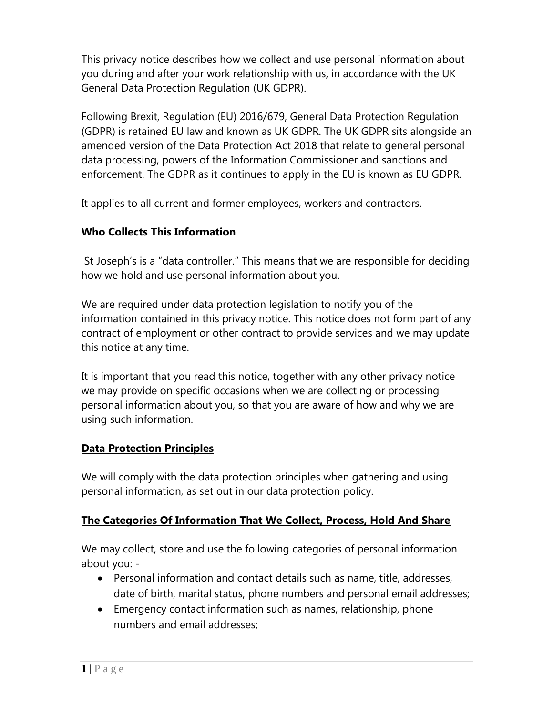This privacy notice describes how we collect and use personal information about you during and after your work relationship with us, in accordance with the UK General Data Protection Regulation (UK GDPR).

Following Brexit, Regulation (EU) 2016/679, General Data Protection Regulation (GDPR) is retained EU law and known as UK GDPR. The UK GDPR sits alongside an amended version of the Data Protection Act 2018 that relate to general personal data processing, powers of the Information Commissioner and sanctions and enforcement. The GDPR as it continues to apply in the EU is known as EU GDPR.

It applies to all current and former employees, workers and contractors.

#### **Who Collects This Information**

St Joseph's is a "data controller." This means that we are responsible for deciding how we hold and use personal information about you.

We are required under data protection legislation to notify you of the information contained in this privacy notice. This notice does not form part of any contract of employment or other contract to provide services and we may update this notice at any time.

It is important that you read this notice, together with any other privacy notice we may provide on specific occasions when we are collecting or processing personal information about you, so that you are aware of how and why we are using such information.

### **Data Protection Principles**

We will comply with the data protection principles when gathering and using personal information, as set out in our data protection policy.

### **The Categories Of Information That We Collect, Process, Hold And Share**

We may collect, store and use the following categories of personal information about you: -

- Personal information and contact details such as name, title, addresses, date of birth, marital status, phone numbers and personal email addresses;
- Emergency contact information such as names, relationship, phone numbers and email addresses;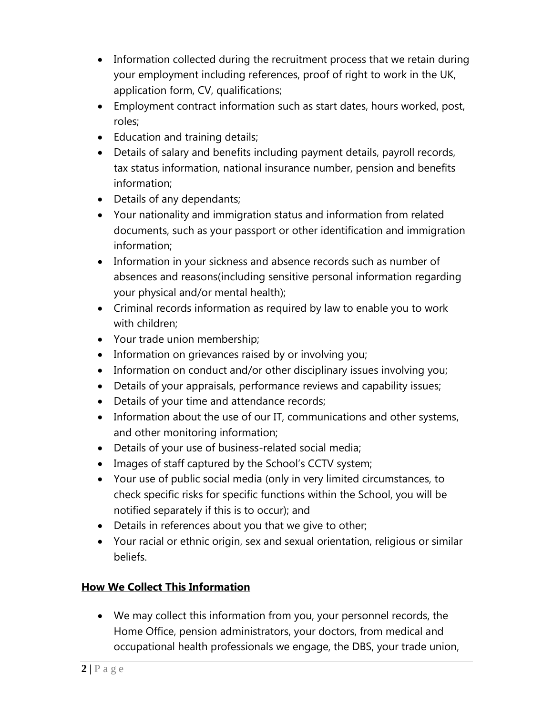- Information collected during the recruitment process that we retain during your employment including references, proof of right to work in the UK, application form, CV, qualifications;
- Employment contract information such as start dates, hours worked, post, roles;
- Education and training details;
- Details of salary and benefits including payment details, payroll records, tax status information, national insurance number, pension and benefits information;
- Details of any dependants;
- Your nationality and immigration status and information from related documents, such as your passport or other identification and immigration information;
- Information in your sickness and absence records such as number of absences and reasons(including sensitive personal information regarding your physical and/or mental health);
- Criminal records information as required by law to enable you to work with children;
- Your trade union membership;
- Information on grievances raised by or involving you;
- Information on conduct and/or other disciplinary issues involving you;
- Details of your appraisals, performance reviews and capability issues;
- Details of your time and attendance records;
- Information about the use of our IT, communications and other systems, and other monitoring information;
- Details of your use of business-related social media;
- Images of staff captured by the School's CCTV system;
- Your use of public social media (only in very limited circumstances, to check specific risks for specific functions within the School, you will be notified separately if this is to occur); and
- Details in references about you that we give to other;
- Your racial or ethnic origin, sex and sexual orientation, religious or similar beliefs.

# **How We Collect This Information**

• We may collect this information from you, your personnel records, the Home Office, pension administrators, your doctors, from medical and occupational health professionals we engage, the DBS, your trade union,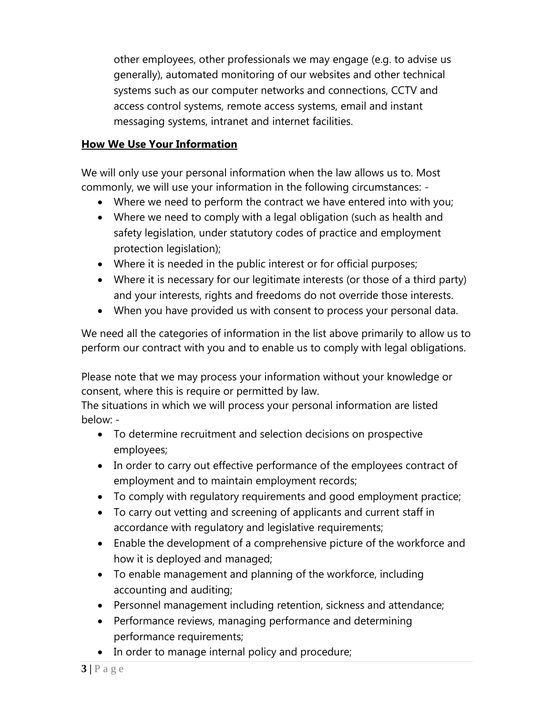other employees, other professionals we may engage (e.g. to advise us generally), automated monitoring of our websites and other technical systems such as our computer networks and connections, CCTV and access control systems, remote access systems, email and instant messaging systems, intranet and internet facilities.

### **How We Use Your Information**

We will only use your personal information when the law allows us to. Most commonly, we will use your information in the following circumstances: -

- Where we need to perform the contract we have entered into with you;
- Where we need to comply with a legal obligation (such as health and safety legislation, under statutory codes of practice and employment protection legislation);
- Where it is needed in the public interest or for official purposes;
- Where it is necessary for our legitimate interests (or those of a third party) and your interests, rights and freedoms do not override those interests.
- When you have provided us with consent to process your personal data.

We need all the categories of information in the list above primarily to allow us to perform our contract with you and to enable us to comply with legal obligations.

Please note that we may process your information without your knowledge or consent, where this is require or permitted by law.

The situations in which we will process your personal information are listed below: -

- To determine recruitment and selection decisions on prospective employees;
- In order to carry out effective performance of the employees contract of employment and to maintain employment records;
- To comply with regulatory requirements and good employment practice;
- To carry out vetting and screening of applicants and current staff in accordance with regulatory and legislative requirements;
- Enable the development of a comprehensive picture of the workforce and how it is deployed and managed;
- To enable management and planning of the workforce, including accounting and auditing;
- Personnel management including retention, sickness and attendance;
- Performance reviews, managing performance and determining performance requirements;
- In order to manage internal policy and procedure;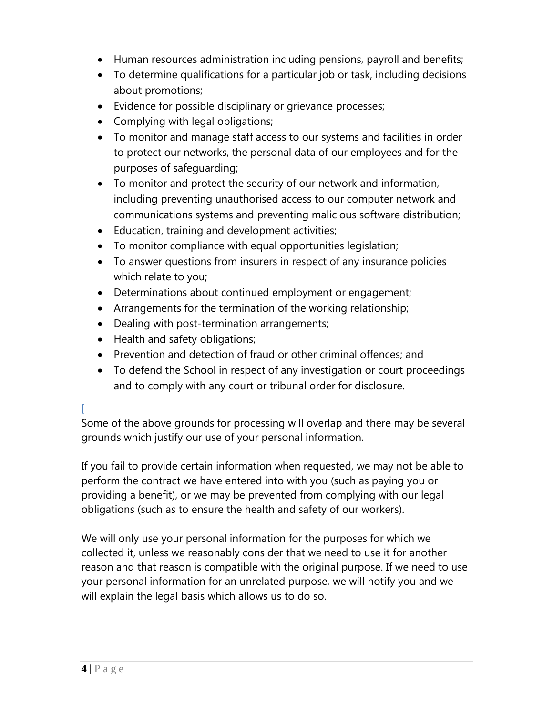- Human resources administration including pensions, payroll and benefits;
- To determine qualifications for a particular job or task, including decisions about promotions;
- Evidence for possible disciplinary or grievance processes;
- Complying with legal obligations;
- To monitor and manage staff access to our systems and facilities in order to protect our networks, the personal data of our employees and for the purposes of safeguarding;
- To monitor and protect the security of our network and information, including preventing unauthorised access to our computer network and communications systems and preventing malicious software distribution;
- Education, training and development activities;
- To monitor compliance with equal opportunities legislation;
- To answer questions from insurers in respect of any insurance policies which relate to you;
- Determinations about continued employment or engagement;
- Arrangements for the termination of the working relationship;
- Dealing with post-termination arrangements;
- Health and safety obligations;
- Prevention and detection of fraud or other criminal offences; and
- To defend the School in respect of any investigation or court proceedings and to comply with any court or tribunal order for disclosure.

### [

Some of the above grounds for processing will overlap and there may be several grounds which justify our use of your personal information.

If you fail to provide certain information when requested, we may not be able to perform the contract we have entered into with you (such as paying you or providing a benefit), or we may be prevented from complying with our legal obligations (such as to ensure the health and safety of our workers).

We will only use your personal information for the purposes for which we collected it, unless we reasonably consider that we need to use it for another reason and that reason is compatible with the original purpose. If we need to use your personal information for an unrelated purpose, we will notify you and we will explain the legal basis which allows us to do so.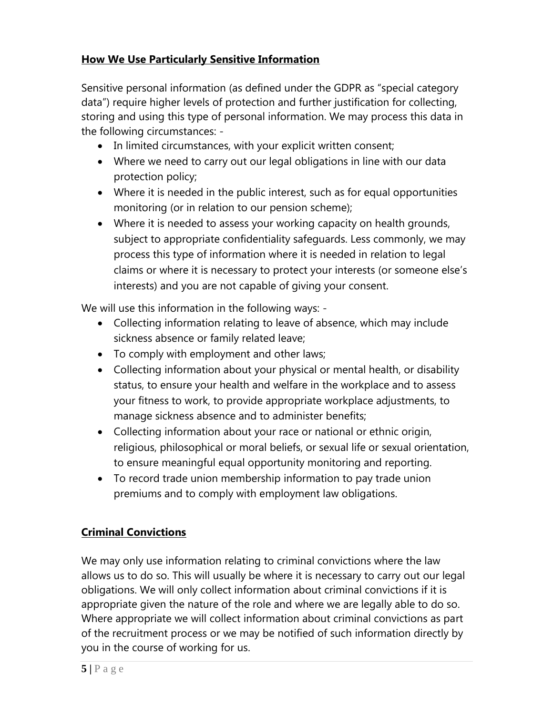## **How We Use Particularly Sensitive Information**

Sensitive personal information (as defined under the GDPR as "special category data") require higher levels of protection and further justification for collecting, storing and using this type of personal information. We may process this data in the following circumstances: -

- In limited circumstances, with your explicit written consent;
- Where we need to carry out our legal obligations in line with our data protection policy;
- Where it is needed in the public interest, such as for equal opportunities monitoring (or in relation to our pension scheme);
- Where it is needed to assess your working capacity on health grounds, subject to appropriate confidentiality safeguards. Less commonly, we may process this type of information where it is needed in relation to legal claims or where it is necessary to protect your interests (or someone else's interests) and you are not capable of giving your consent.

We will use this information in the following ways: -

- Collecting information relating to leave of absence, which may include sickness absence or family related leave;
- To comply with employment and other laws;
- Collecting information about your physical or mental health, or disability status, to ensure your health and welfare in the workplace and to assess your fitness to work, to provide appropriate workplace adjustments, to manage sickness absence and to administer benefits;
- Collecting information about your race or national or ethnic origin, religious, philosophical or moral beliefs, or sexual life or sexual orientation, to ensure meaningful equal opportunity monitoring and reporting.
- To record trade union membership information to pay trade union premiums and to comply with employment law obligations.

# **Criminal Convictions**

We may only use information relating to criminal convictions where the law allows us to do so. This will usually be where it is necessary to carry out our legal obligations. We will only collect information about criminal convictions if it is appropriate given the nature of the role and where we are legally able to do so. Where appropriate we will collect information about criminal convictions as part of the recruitment process or we may be notified of such information directly by you in the course of working for us.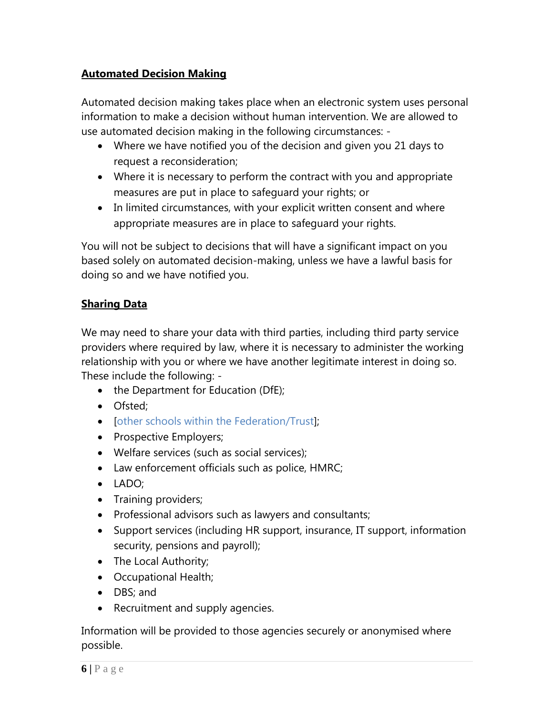## **Automated Decision Making**

Automated decision making takes place when an electronic system uses personal information to make a decision without human intervention. We are allowed to use automated decision making in the following circumstances: -

- Where we have notified you of the decision and given you 21 days to request a reconsideration;
- Where it is necessary to perform the contract with you and appropriate measures are put in place to safeguard your rights; or
- In limited circumstances, with your explicit written consent and where appropriate measures are in place to safeguard your rights.

You will not be subject to decisions that will have a significant impact on you based solely on automated decision-making, unless we have a lawful basis for doing so and we have notified you.

### **Sharing Data**

We may need to share your data with third parties, including third party service providers where required by law, where it is necessary to administer the working relationship with you or where we have another legitimate interest in doing so. These include the following: -

- the Department for Education (DfE);
- Ofsted;
- [other schools within the Federation/Trust];
- Prospective Employers;
- Welfare services (such as social services);
- Law enforcement officials such as police, HMRC;
- LADO;
- Training providers;
- Professional advisors such as lawyers and consultants;
- Support services (including HR support, insurance, IT support, information security, pensions and payroll);
- The Local Authority;
- Occupational Health;
- DBS; and
- Recruitment and supply agencies.

Information will be provided to those agencies securely or anonymised where possible.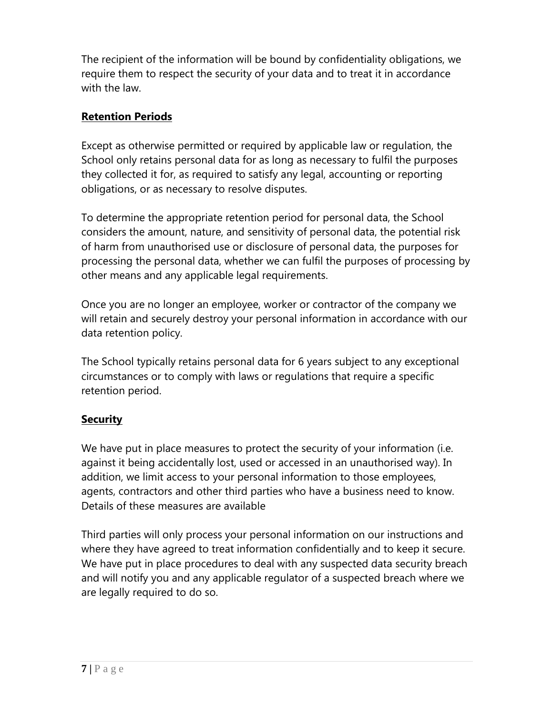The recipient of the information will be bound by confidentiality obligations, we require them to respect the security of your data and to treat it in accordance with the law.

## **Retention Periods**

Except as otherwise permitted or required by applicable law or regulation, the School only retains personal data for as long as necessary to fulfil the purposes they collected it for, as required to satisfy any legal, accounting or reporting obligations, or as necessary to resolve disputes.

To determine the appropriate retention period for personal data, the School considers the amount, nature, and sensitivity of personal data, the potential risk of harm from unauthorised use or disclosure of personal data, the purposes for processing the personal data, whether we can fulfil the purposes of processing by other means and any applicable legal requirements.

Once you are no longer an employee, worker or contractor of the company we will retain and securely destroy your personal information in accordance with our data retention policy.

The School typically retains personal data for 6 years subject to any exceptional circumstances or to comply with laws or regulations that require a specific retention period.

## **Security**

We have put in place measures to protect the security of your information (i.e. against it being accidentally lost, used or accessed in an unauthorised way). In addition, we limit access to your personal information to those employees, agents, contractors and other third parties who have a business need to know. Details of these measures are available

Third parties will only process your personal information on our instructions and where they have agreed to treat information confidentially and to keep it secure. We have put in place procedures to deal with any suspected data security breach and will notify you and any applicable regulator of a suspected breach where we are legally required to do so.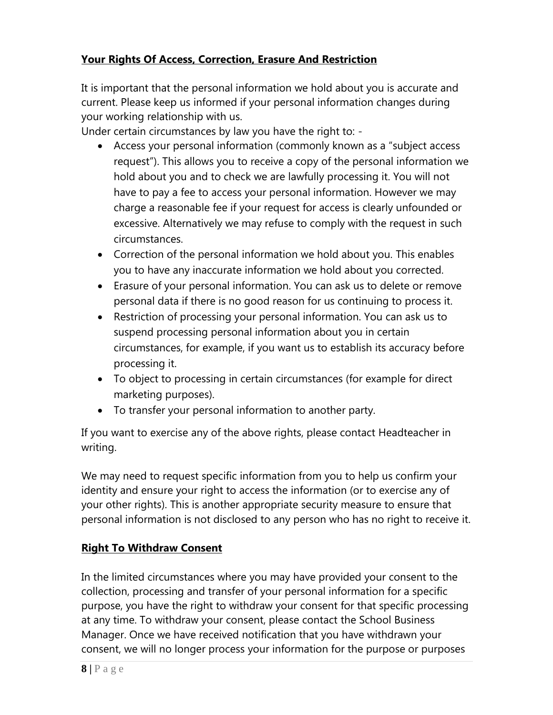## **Your Rights Of Access, Correction, Erasure And Restriction**

It is important that the personal information we hold about you is accurate and current. Please keep us informed if your personal information changes during your working relationship with us.

Under certain circumstances by law you have the right to: -

- Access your personal information (commonly known as a "subject access request"). This allows you to receive a copy of the personal information we hold about you and to check we are lawfully processing it. You will not have to pay a fee to access your personal information. However we may charge a reasonable fee if your request for access is clearly unfounded or excessive. Alternatively we may refuse to comply with the request in such circumstances.
- Correction of the personal information we hold about you. This enables you to have any inaccurate information we hold about you corrected.
- Erasure of your personal information. You can ask us to delete or remove personal data if there is no good reason for us continuing to process it.
- Restriction of processing your personal information. You can ask us to suspend processing personal information about you in certain circumstances, for example, if you want us to establish its accuracy before processing it.
- To object to processing in certain circumstances (for example for direct marketing purposes).
- To transfer your personal information to another party.

If you want to exercise any of the above rights, please contact Headteacher in writing.

We may need to request specific information from you to help us confirm your identity and ensure your right to access the information (or to exercise any of your other rights). This is another appropriate security measure to ensure that personal information is not disclosed to any person who has no right to receive it.

## **Right To Withdraw Consent**

In the limited circumstances where you may have provided your consent to the collection, processing and transfer of your personal information for a specific purpose, you have the right to withdraw your consent for that specific processing at any time. To withdraw your consent, please contact the School Business Manager. Once we have received notification that you have withdrawn your consent, we will no longer process your information for the purpose or purposes